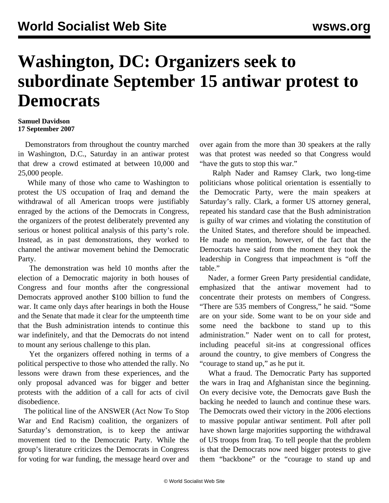## **Washington, DC: Organizers seek to subordinate September 15 antiwar protest to Democrats**

## **Samuel Davidson 17 September 2007**

 Demonstrators from throughout the country marched in Washington, D.C., Saturday in an antiwar protest that drew a crowd estimated at between 10,000 and 25,000 people.

 While many of those who came to Washington to protest the US occupation of Iraq and demand the withdrawal of all American troops were justifiably enraged by the actions of the Democrats in Congress, the organizers of the protest deliberately prevented any serious or honest political analysis of this party's role. Instead, as in past demonstrations, they worked to channel the antiwar movement behind the Democratic Party.

 The demonstration was held 10 months after the election of a Democratic majority in both houses of Congress and four months after the congressional Democrats approved another \$100 billion to fund the war. It came only days after hearings in both the House and the Senate that made it clear for the umpteenth time that the Bush administration intends to continue this war indefinitely, and that the Democrats do not intend to mount any serious challenge to this plan.

 Yet the organizers offered nothing in terms of a political perspective to those who attended the rally. No lessons were drawn from these experiences, and the only proposal advanced was for bigger and better protests with the addition of a call for acts of civil disobedience.

 The political line of the ANSWER (Act Now To Stop War and End Racism) coalition, the organizers of Saturday's demonstration, is to keep the antiwar movement tied to the Democratic Party. While the group's literature criticizes the Democrats in Congress for voting for war funding, the message heard over and over again from the more than 30 speakers at the rally was that protest was needed so that Congress would "have the guts to stop this war."

 Ralph Nader and Ramsey Clark, two long-time politicians whose political orientation is essentially to the Democratic Party, were the main speakers at Saturday's rally. Clark, a former US attorney general, repeated his standard case that the Bush administration is guilty of war crimes and violating the constitution of the United States, and therefore should be impeached. He made no mention, however, of the fact that the Democrats have said from the moment they took the leadership in Congress that impeachment is "off the table."

 Nader, a former Green Party presidential candidate, emphasized that the antiwar movement had to concentrate their protests on members of Congress. "There are 535 members of Congress," he said. "Some are on your side. Some want to be on your side and some need the backbone to stand up to this administration." Nader went on to call for protest, including peaceful sit-ins at congressional offices around the country, to give members of Congress the "courage to stand up," as he put it.

 What a fraud. The Democratic Party has supported the wars in Iraq and Afghanistan since the beginning. On every decisive vote, the Democrats gave Bush the backing he needed to launch and continue these wars. The Democrats owed their victory in the 2006 elections to massive popular antiwar sentiment. Poll after poll have shown large majorities supporting the withdrawal of US troops from Iraq. To tell people that the problem is that the Democrats now need bigger protests to give them "backbone" or the "courage to stand up and